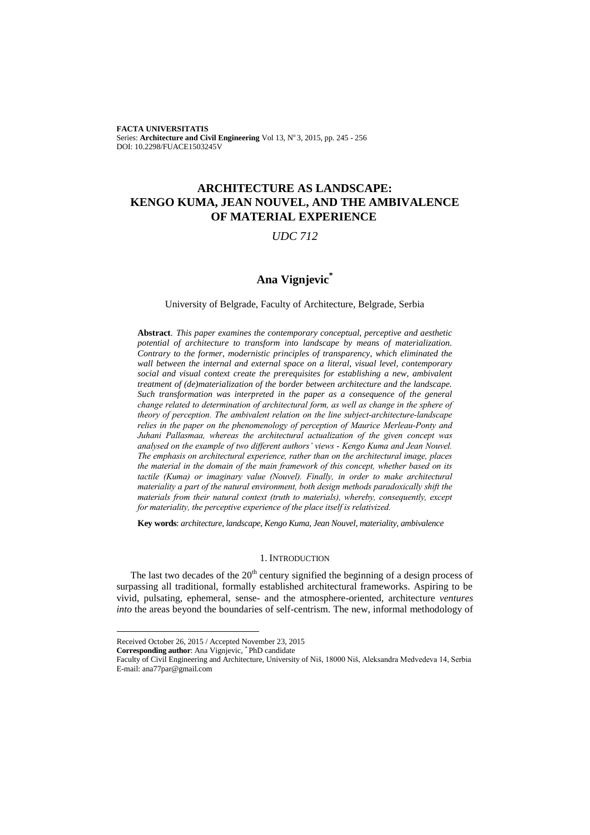**FACTA UNIVERSITATIS** Series: **Architecture and Civil Engineering** Vol 13, N° 3, 2015, pp. 245 - 256 DOI: 10.2298/FUACE1503245V

# **ARCHITECTURE AS LANDSCAPE: KENGO KUMA, JEAN NOUVEL, AND THE AMBIVALENCE OF MATERIAL EXPERIENCE**

### *UDC 712*

# **Ana Vignjevic \***

### University of Belgrade, Faculty of Architecture, Belgrade, Serbia

**Abstract**. *This paper examines the contemporary conceptual, perceptive and aesthetic potential of architecture to transform into landscape by means of materialization. Contrary to the former, modernistic principles of transparency, which eliminated the wall between the internal and external space on a literal, visual level, contemporary social and visual context create the prerequisites for establishing a new, ambivalent treatment of (de)materialization of the border between architecture and the landscape. Such transformation was interpreted in the paper as a consequence of the general change related to determination of architectural form, as well as change in the sphere of theory of perception. The ambivalent relation on the line subject-architecture-landscape relies in the paper on the phenomenology of perception of Maurice Merleau-Ponty and Juhani Pallasmaa, whereas the architectural actualization of the given concept was analysed on the example of two different authors' views - Kengo Kuma and Jean Nouvel. The emphasis on architectural experience, rather than on the architectural image, places the material in the domain of the main framework of this concept, whether based on its tactile (Kuma) or imaginary value (Nouvel). Finally, in order to make architectural materiality a part of the natural environment, both design methods paradoxically shift the materials from their natural context (truth to materials), whereby, consequently, except for materiality, the perceptive experience of the place itself is relativized.*

**Key words**: *architecture, landscape, Kengo Kuma, Jean Nouvel, materiality, ambivalence*

### 1. INTRODUCTION

The last two decades of the  $20<sup>th</sup>$  century signified the beginning of a design process of surpassing all traditional, formally established architectural frameworks. Aspiring to be vivid, pulsating, ephemeral, sense- and the atmosphere-oriented, architecture *ventures into* the areas beyond the boundaries of self-centrism. The new, informal methodology of

Received October 26, 2015 / Accepted November 23, 2015

**Corresponding author**: Ana Vignjevic, \* PhD candidate

Faculty of Civil Engineering and Architecture, University of Niš, 18000 Niš, Aleksandra Medvedeva 14, Serbia E-mail: ana77par@gmail.com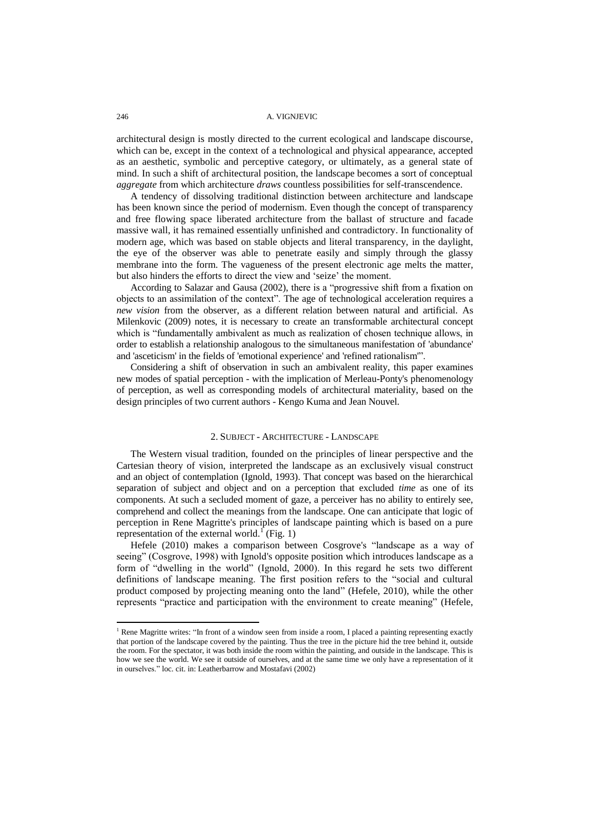architectural design is mostly directed to the current ecological and landscape discourse, which can be, except in the context of a technological and physical appearance, accepted as an aesthetic, symbolic and perceptive category, or ultimately, as a general state of mind. In such a shift of architectural position, the landscape becomes a sort of conceptual *aggregate* from which architecture *draws* countless possibilities for self-transcendence.

A tendency of dissolving traditional distinction between architecture and landscape has been known since the period of modernism. Even though the concept of transparency and free flowing space liberated architecture from the ballast of structure and facade massive wall, it has remained essentially unfinished and contradictory. In functionality of modern age, which was based on stable objects and literal transparency, in the daylight, the eye of the observer was able to penetrate easily and simply through the glassy membrane into the form. The vagueness of the present electronic age melts the matter, but also hinders the efforts to direct the view and "seize" the moment.

According to Salazar and Gausa (2002), there is a "progressive shift from a fixation on objects to an assimilation of the context". The age of technological acceleration requires a *new vision* from the observer, as a different relation between natural and artificial. As Milenkovic (2009) notes, it is necessary to create an transformable architectural concept which is "fundamentally ambivalent as much as realization of chosen technique allows, in order to establish a relationship analogous to the simultaneous manifestation of 'abundance' and 'asceticism' in the fields of 'emotional experience' and 'refined rationalism'".

Considering a shift of observation in such an ambivalent reality, this paper examines new modes of spatial perception - with the implication of Merleau-Ponty's phenomenology of perception, as well as corresponding models of architectural materiality, based on the design principles of two current authors - Kengo Kuma and Jean Nouvel.

### 2. SUBJECT - ARCHITECTURE - LANDSCAPE

The Western visual tradition, founded on the principles of linear perspective and the Cartesian theory of vision, interpreted the landscape as an exclusively visual construct and an object of contemplation (Ignold, 1993). That concept was based on the hierarchical separation of subject and object and on a perception that excluded *time* as one of its components. At such a secluded moment of gaze, a perceiver has no ability to entirely see, comprehend and collect the meanings from the landscape. One can anticipate that logic of perception in Rene Magritte's principles of landscape painting which is based on a pure representation of the external world.<sup>1</sup> (Fig. 1)

Hefele (2010) makes a comparison between Cosgrove's "landscape as a way of seeing" (Cosgrove, 1998) with Ignold's opposite position which introduces landscape as a form of "dwelling in the world" (Ignold, 2000). In this regard he sets two different definitions of landscape meaning. The first position refers to the "social and cultural product composed by projecting meaning onto the land" (Hefele, 2010), while the other represents "practice and participation with the environment to create meaning" (Hefele,

<sup>&</sup>lt;sup>1</sup> Rene Magritte writes: "In front of a window seen from inside a room, I placed a painting representing exactly that portion of the landscape covered by the painting. Thus the tree in the picture hid the tree behind it, outside the room. For the spectator, it was both inside the room within the painting, and outside in the landscape. This is how we see the world. We see it outside of ourselves, and at the same time we only have a representation of it in ourselves." loc. cit. in: Leatherbarrow and Mostafavi (2002)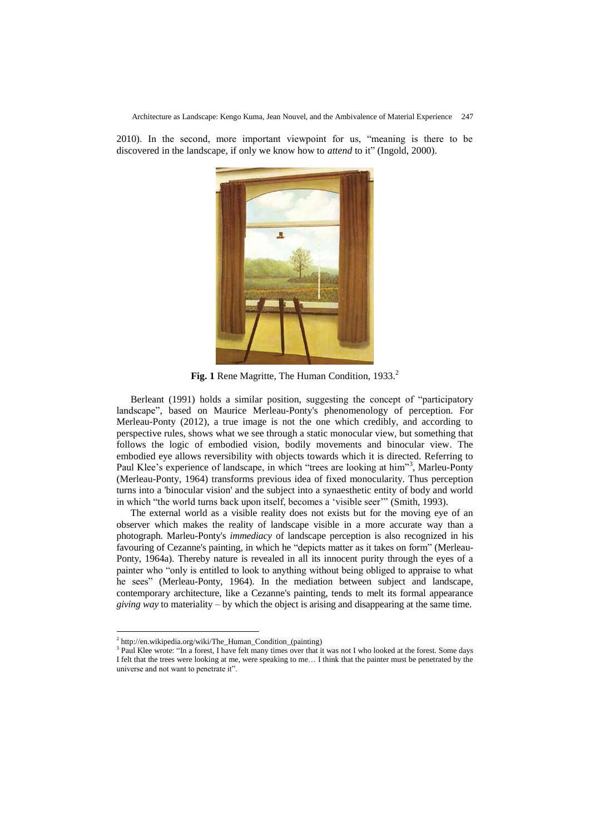Architecture as Landscape: Kengo Kuma, Jean Nouvel, and the Ambivalence of Material Experience 247

2010). In the second, more important viewpoint for us, "meaning is there to be discovered in the landscape, if only we know how to *attend* to it" (Ingold, 2000).



Fig. 1 Rene Magritte, The Human Condition, 1933.<sup>2</sup>

Berleant (1991) holds a similar position, suggesting the concept of "participatory landscape", based on Maurice Merleau-Ponty's phenomenology of perception*.* For Merleau-Ponty (2012), a true image is not the one which credibly, and according to perspective rules, shows what we see through a static monocular view, but something that follows the logic of embodied vision, bodily movements and binocular view. The embodied eye allows reversibility with objects towards which it is directed. Referring to Paul Klee's experience of landscape, in which "trees are looking at him"<sup>3</sup>, Marleu-Ponty (Merleau-Ponty, 1964) transforms previous idea of fixed monocularity. Thus perception turns into a 'binocular vision' and the subject into a synaesthetic entity of body and world in which "the world turns back upon itself, becomes a "visible seer"" (Smith, 1993).

The external world as a visible reality does not exists but for the moving eye of an observer which makes the reality of landscape visible in a more accurate way than a photograph. Marleu-Ponty's *immediacy* of landscape perception is also recognized in his favouring of Cezanne's painting, in which he "depicts matter as it takes on form" (Merleau-Ponty, 1964a). Thereby nature is revealed in all its innocent purity through the eyes of a painter who "only is entitled to look to anything without being obliged to appraise to what he sees" (Merleau-Ponty, 1964). In the mediation between subject and landscape, contemporary architecture, like a Cezanne's painting, tends to melt its formal appearance *giving way* to materiality – by which the object is arising and disappearing at the same time.

 2 [http://en.wikipedia.org/wiki/The\\_Human\\_Condition\\_\(painting\)](http://en.wikipedia.org/wiki/The_Human_Condition_(painting))

<sup>&</sup>lt;sup>3</sup> Paul Klee wrote: "In a forest, I have felt many times over that it was not I who looked at the forest. Some days I felt that the trees were looking at me, were speaking to me… I think that the painter must be penetrated by the universe and not want to penetrate it".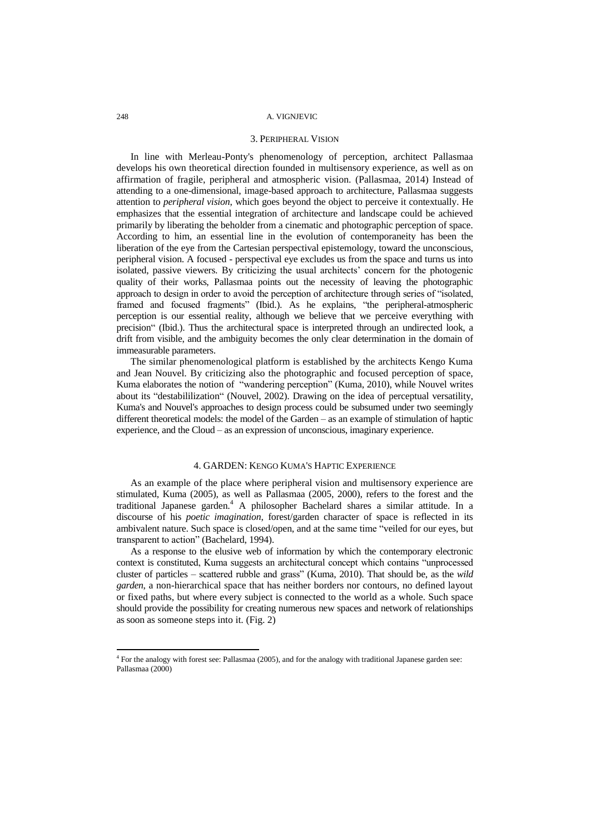#### 3. PERIPHERAL VISION

In line with Merleau-Ponty's phenomenology of perception, architect Pallasmaa develops his own theoretical direction founded in multisensory experience, as well as on affirmation of fragile, peripheral and atmospheric vision. (Pallasmaa, 2014) Instead of attending to a one-dimensional, image-based approach to architecture, Pallasmaa suggests attention to *peripheral vision*, which goes beyond the object to perceive it contextually. He emphasizes that the essential integration of architecture and landscape could be achieved primarily by liberating the beholder from a cinematic and photographic perception of space. According to him, an essential line in the evolution of contemporaneity has been the liberation of the eye from the Cartesian perspectival epistemology, toward the unconscious, peripheral vision. A focused - perspectival eye excludes us from the space and turns us into isolated, passive viewers. By criticizing the usual architects" concern for the photogenic quality of their works, Pallasmaa points out the necessity of leaving the photographic approach to design in order to avoid the perception of architecture through series of "isolated, framed and focused fragments" (Ibid.). As he explains, "the peripheral-atmospheric perception is our essential reality, although we believe that we perceive everything with precision" (Ibid.). Thus the architectural space is interpreted through an undirected look, a drift from visible, and the ambiguity becomes the only clear determination in the domain of immeasurable parameters.

The similar phenomenological platform is established by the architects Kengo Kuma and Jean Nouvel. By criticizing also the photographic and focused perception of space, Kuma elaborates the notion of "wandering perception" (Kuma, 2010), while Nouvel writes about its "destabililization" (Nouvel, 2002). Drawing on the idea of perceptual versatility, Kuma's and Nouvel's approaches to design process could be subsumed under two seemingly different theoretical models: the model of the Garden – as an example of stimulation of haptic experience, and the Cloud – as an expression of unconscious, imaginary experience.

### 4. GARDEN: KENGO KUMA'S HAPTIC EXPERIENCE

As an example of the place where peripheral vision and multisensory experience are stimulated, Kuma (2005), as well as Pallasmaa (2005, 2000), refers to the forest and the traditional Japanese garden. <sup>4</sup> A philosopher Bachelard shares a similar attitude. In a discourse of his *poetic imagination*, forest/garden character of space is reflected in its ambivalent nature. Such space is closed/open, and at the same time "veiled for our eyes, but transparent to action" (Bachelard, 1994).

As a response to the elusive web of information by which the contemporary electronic context is constituted, Kuma suggests an architectural concept which contains "unprocessed cluster of particles – scattered rubble and grass" (Kuma, 2010). That should be, as the *wild garden*, a non-hierarchical space that has neither borders nor contours, no defined layout or fixed paths, but where every subject is connected to the world as a whole. Such space should provide the possibility for creating numerous new spaces and network of relationships as soon as someone steps into it. (Fig. 2)

<sup>4</sup> For the analogy with forest see: Pallasmaa (2005), and for the analogy with traditional Japanese garden see: Pallasmaa (2000)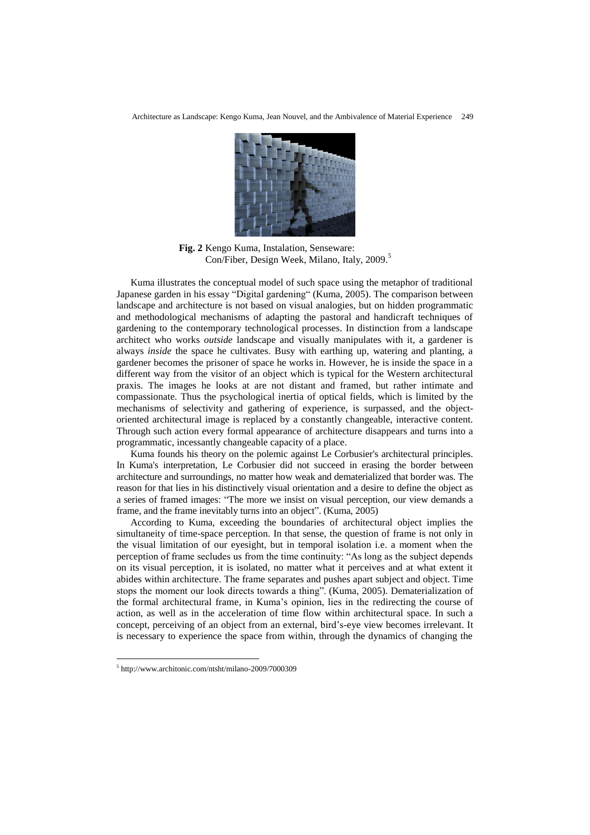

**Fig. 2** Kengo Kuma, Instalation, Senseware: Con/Fiber, Design Week, Milano, Italy, 2009.<sup>5</sup>

Kuma illustrates the conceptual model of such space using the metaphor of traditional Japanese garden in his essay "Digital gardening" (Kuma, 2005). The comparison between landscape and architecture is not based on visual analogies, but on hidden programmatic and methodological mechanisms of adapting the pastoral and handicraft techniques of gardening to the contemporary technological processes. In distinction from a landscape architect who works *outside* landscape and visually manipulates with it, a gardener is always *inside* the space he cultivates. Busy with earthing up, watering and planting, a gardener becomes the prisoner of space he works in. However, he is inside the space in a different way from the visitor of an object which is typical for the Western architectural praxis. The images he looks at are not distant and framed, but rather intimate and compassionate. Thus the psychological inertia of optical fields, which is limited by the mechanisms of selectivity and gathering of experience, is surpassed, and the objectoriented architectural image is replaced by a constantly changeable, interactive content. Through such action every formal appearance of architecture disappears and turns into a programmatic, incessantly changeable capacity of a place.

Kuma founds his theory on the polemic against Le Corbusier's architectural principles. In Kuma's interpretation, Le Corbusier did not succeed in erasing the border between architecture and surroundings*,* no matter how weak and dematerialized that border was. The reason for that lies in his distinctively visual orientation and a desire to define the object as a series of framed images: "The more we insist on visual perception, our view demands a frame, and the frame inevitably turns into an object". (Kuma, 2005)

According to Kuma, exceeding the boundaries of architectural object implies the simultaneity of time-space perception. In that sense, the question of frame is not only in the visual limitation of our eyesight, but in temporal isolation i.e. a moment when the perception of frame secludes us from the time continuity: "As long as the subject depends on its visual perception, it is isolated, no matter what it perceives and at what extent it abides within architecture. The frame separates and pushes apart subject and object. Time stops the moment our look directs towards a thing". (Kuma, 2005). Dematerialization of the formal architectural frame, in Kuma"s opinion, lies in the redirecting the course of action, as well as in the acceleration of time flow within architectural space. In such a concept, perceiving of an object from an external, bird"s-eye view becomes irrelevant. It is necessary to experience the space from within, through the dynamics of changing the

1

<sup>5</sup> <http://www.architonic.com/ntsht/milano-2009/7000309>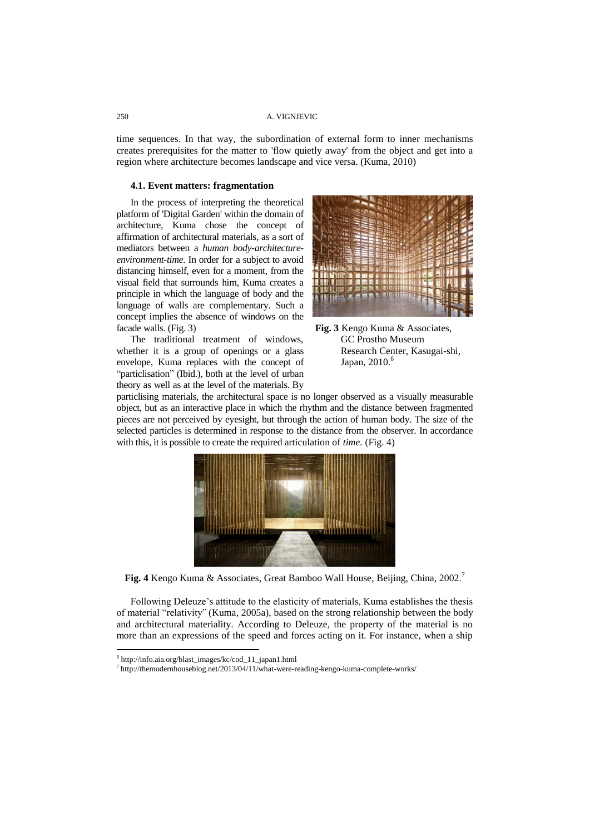time sequences. In that way, the subordination of external form to inner mechanisms creates prerequisites for the matter to 'flow quietly away' from the object and get into a region where architecture becomes landscape and vice versa. (Kuma, 2010)

### **4.1. Event matters: fragmentation**

In the process of interpreting the theoretical platform of 'Digital Garden' within the domain of architecture, Kuma chose the concept of affirmation of architectural materials, as a sort of mediators between a *human body-architectureenvironment-time*. In order for a subject to avoid distancing himself, even for a moment, from the visual field that surrounds him, Kuma creates a principle in which the language of body and the language of walls are complementary. Such a concept implies the absence of windows on the facade walls. (Fig. 3)

The traditional treatment of windows, whether it is a group of openings or a glass envelope, Kuma replaces with the concept of "particlisation" (Ibid.), both at the level of urban theory as well as at the level of the materials. By





particlising materials, the architectural space is no longer observed as a visually measurable object, but as an interactive place in which the rhythm and the distance between fragmented pieces are not perceived by eyesight, but through the action of human body. The size of the selected particles is determined in response to the distance from the observer. In accordance with this, it is possible to create the required articulation of *time.* (Fig. 4)



**Fig. 4** Kengo Kuma & Associates, Great Bamboo Wall House, Beijing, China, 2002.<sup>7</sup>

Following Deleuze's attitude to the elasticity of materials, Kuma establishes the thesis of material "relativity" (Kuma, 2005a), based on the strong relationship between the body and architectural materiality. According to Deleuze, the property of the material is no more than an expressions of the speed and forces acting on it. For instance, when a ship

<sup>6</sup> [http://info.aia.org/blast\\_images/kc/cod\\_11\\_japan1.html](http://info.aia.org/blast_images/kc/cod_11_japan1.html)

<sup>&</sup>lt;sup>7</sup> <http://themodernhouseblog.net/2013/04/11/what-were-reading-kengo-kuma-complete-works/>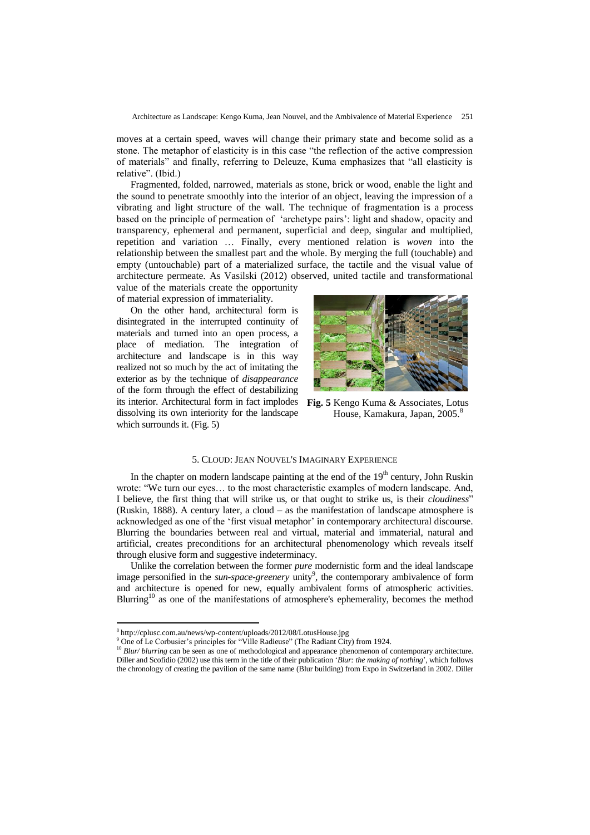Architecture as Landscape: Kengo Kuma, Jean Nouvel, and the Ambivalence of Material Experience 251

moves at a certain speed, waves will change their primary state and become solid as a stone. The metaphor of elasticity is in this case "the reflection of the active compression of materials" and finally, referring to Deleuze, Kuma emphasizes that "all elasticity is relative". (Ibid.)

Fragmented, folded, narrowed, materials as stone, brick or wood, enable the light and the sound to penetrate smoothly into the interior of an object, leaving the impression of a vibrating and light structure of the wall. The technique of fragmentation is a process based on the principle of permeation of "archetype pairs": light and shadow, opacity and transparency, ephemeral and permanent, superficial and deep, singular and multiplied, repetition and variation … Finally, every mentioned relation is *woven* into the relationship between the smallest part and the whole. By merging the full (touchable) and empty (untouchable) part of a materialized surface, the tactile and the visual value of architecture permeate. As Vasilski (2012) observed, united tactile and transformational

value of the materials create the opportunity of material expression of immateriality.

On the other hand, architectural form is disintegrated in the interrupted continuity of materials and turned into an open process, a place of mediation. The integration of architecture and landscape is in this way realized not so much by the act of imitating the exterior as by the technique of *disappearance* of the form through the effect of destabilizing its interior. Architectural form in fact implodes dissolving its own interiority for the landscape which surrounds it. (Fig. 5)



**Fig. 5** Kengo Kuma & Associates, Lotus House, Kamakura, Japan, 2005.<sup>8</sup>

### 5. CLOUD: JEAN NOUVEL'S IMAGINARY EXPERIENCE

In the chapter on modern landscape painting at the end of the  $19<sup>th</sup>$  century, John Ruskin wrote: "We turn our eyes… to the most characteristic examples of modern landscape. Аnd, I believe, the first thing that will strike us, or that ought to strike us, is their *cloudiness*" (Ruskin, 1888). A century later, a cloud – as the manifestation of landscape atmosphere is acknowledged as one of the "first visual metaphor" in contemporary architectural discourse. Blurring the boundaries between real and virtual, material and immaterial, natural and artificial, creates preconditions for an architectural phenomenology which reveals itself through elusive form and suggestive indeterminacy.

Unlike the correlation between the former *pure* modernistic form and the ideal landscape image personified in the *sun-space-greenery* unity<sup>9</sup>, the contemporary ambivalence of form and architecture is opened for new, equally ambivalent forms of atmospheric activities. Blurring<sup>10</sup> as one of the manifestations of atmosphere's ephemerality, becomes the method

<sup>8</sup> <http://cplusc.com.au/news/wp-content/uploads/2012/08/LotusHouse.jpg>

<sup>&</sup>lt;sup>9</sup> One of Le Corbusier's principles for "Ville Radieuse" (The Radiant City) from 1924.

<sup>&</sup>lt;sup>10</sup> *Blur/blurring* can be seen as one of methodological and appearance phenomenon of contemporary architecture. Diller and Scofidio (2002) use this term in the title of their publication "*Blur: the making of nothing*", which follows the chronology of creating the pavilion of the same name (Blur building) from Expo in Switzerland in 2002. Diller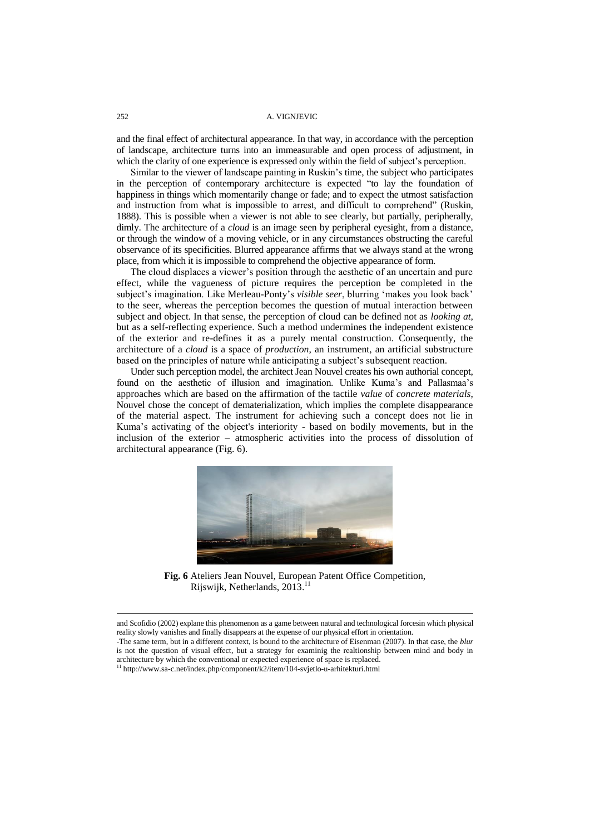and the final effect of architectural appearance. In that way, in accordance with the perception of landscape, architecture turns into an immeasurable and open process of adjustment, in which the clarity of one experience is expressed only within the field of subject's perception.

Similar to the viewer of landscape painting in Ruskin"s time, the subject who participates in the perception of contemporary architecture is expected "to lay the foundation of happiness in things which momentarily change or fade; and to expect the utmost satisfaction and instruction from what is impossible to arrest, and difficult to comprehend" (Ruskin, 1888). This is possible when a viewer is not able to see clearly, but partially, peripherally, dimly. The architecture of a *cloud* is an image seen by peripheral eyesight, from a distance, or through the window of a moving vehicle, or in any circumstances obstructing the careful observance of its specificities. Blurred appearance affirms that we always stand at the wrong place, from which it is impossible to comprehend the objective appearance of form.

The cloud displaces a viewer"s position through the aesthetic of an uncertain and pure effect, while the vagueness of picture requires the perception be completed in the subject's imagination. Like Merleau-Ponty's *visible seer*, blurring 'makes you look back' to the seer, whereas the perception becomes the question of mutual interaction between subject and object. In that sense, the perception of cloud can be defined not as *looking at,* but as a self-reflecting experience. Such a method undermines the independent existence of the exterior and re-defines it as a purely mental construction. Consequently, the architecture of a *cloud* is a space of *production*, an instrument, an artificial substructure based on the principles of nature while anticipating a subject's subsequent reaction.

Under such perception model, the architect Jean Nouvel creates his own authorial concept, found on the aesthetic of illusion and imagination. Unlike Kuma's and Pallasmaa's approaches which are based on the affirmation of the tactile *value* of *concrete materials*, Nouvel chose the concept of dematerialization, which implies the complete disappearance of the material aspect. The instrument for achieving such a concept does not lie in Kuma"s activating of the object's interiority - based on bodily movements, but in the inclusion of the exterior – atmospheric activities into the process of dissolution of architectural appearance (Fig. 6).



**Fig. 6** Ateliers Jean Nouvel, European Patent Office Competition, Rijswijk, Netherlands, 2013.<sup>11</sup>

and Scofidio (2002) explane this phenomenon as a game between natural and technological forcesin which physical reality slowly vanishes and finally disappears at the expense of our physical effort in orientation. -The same term, but in a different context, is bound to the architecture of Eisenman (2007). In that case, the *blur* is not the question of visual effect, but a strategy for examinig the realtionship between mind and body in

architecture by which the conventional or expected experience of space is replaced.

<sup>&</sup>lt;sup>11</sup> <http://www.sa-c.net/index.php/component/k2/item/104-svjetlo-u-arhitekturi.html>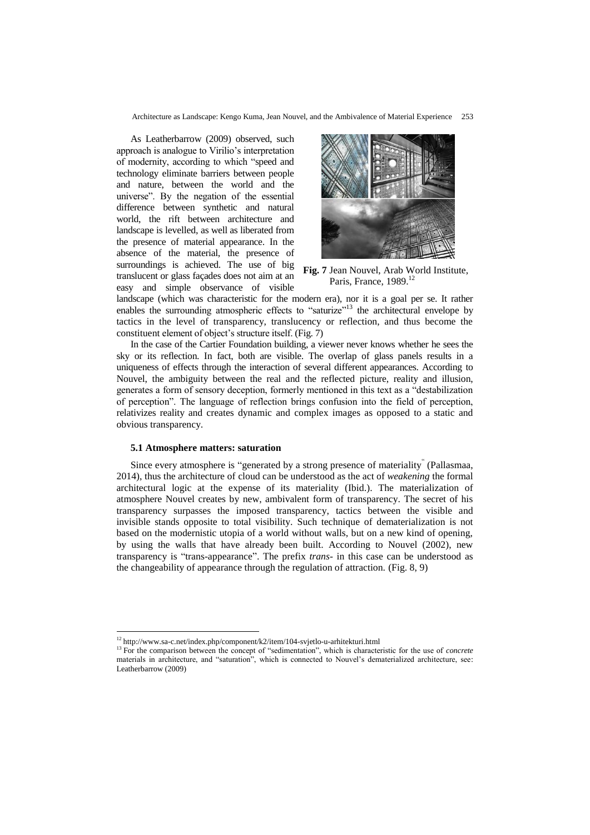Architecture as Landscape: Kengo Kuma, Jean Nouvel, and the Ambivalence of Material Experience 253

As Leatherbarrow (2009) observed, such approach is analogue to Virilio"s interpretation of modernity, according to which "speed and technology eliminate barriers between people and nature, between the world and the universe". By the negation of the essential difference between synthetic and natural world, the rift between architecture and landscape is levelled, as well as liberated from the presence of material appearance. In the absence of the material, the presence of surroundings is achieved. The use of big translucent or glass façades does not aim at an easy and simple observance of visible



**Fig. 7** Jean Nouvel, Arab World Institute, Paris, France, 1989.<sup>12</sup>

landscape (which was characteristic for the modern era), nor it is a goal per se. It rather enables the surrounding atmospheric effects to "saturize"<sup>13</sup> the architectural envelope by tactics in the level of transparency, translucency or reflection, and thus become the constituent element of object"s structure itself. (Fig. 7)

In the case of the Cartier Foundation building, a viewer never knows whether he sees the sky or its reflection. In fact, both are visible. The overlap of glass panels results in a uniqueness of effects through the interaction of several different appearances. According to Nouvel, the ambiguity between the real and the reflected picture, reality and illusion, generates a form of sensory deception, formerly mentioned in this text as a "destabilization of perception". The language of reflection brings confusion into the field of perception, relativizes reality and creates dynamic and complex images as opposed to a static and obvious transparency.

### **5.1 Atmosphere matters: saturation**

 $\overline{a}$ 

Since every atmosphere is "generated by a strong presence of materiality" (Pallasmaa, 2014), thus the architecture of cloud can be understood as the act of *weakening* the formal architectural logic at the expense of its materiality (Ibid.). The materialization of atmosphere Nouvel creates by new, ambivalent form of transparency. The secret of his transparency surpasses the imposed transparency, tactics between the visible and invisible stands opposite to total visibility. Such technique of dematerialization is not based on the modernistic utopia of a world without walls, but on a new kind of opening, by using the walls that have already been built. According to Nouvel (2002), new transparency is "trans-appearance". The prefix *trans-* in this case can be understood as the changeability of appearance through the regulation of attraction. (Fig. 8, 9)

<sup>&</sup>lt;sup>12</sup> <http://www.sa-c.net/index.php/component/k2/item/104-svjetlo-u-arhitekturi.html>

<sup>&</sup>lt;sup>13</sup> For the comparison between the concept of "sedimentation", which is characteristic for the use of *concrete* materials in architecture, and "saturation", which is connected to Nouvel"s dematerialized architecture, see: Leatherbarrow (2009)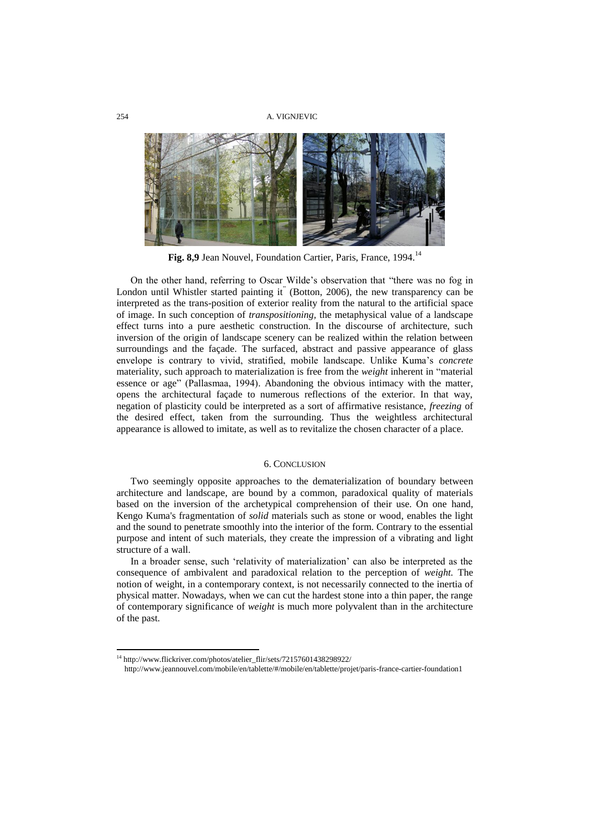

**Fig. 8,9** Jean Nouvel, Foundation Cartier, Paris, France, 1994.<sup>14</sup>

On the other hand, referring to Oscar Wilde"s observation that "there was no fog in London until Whistler started painting it" (Botton, 2006), the new transparency can be interpreted as the trans-position of exterior reality from the natural to the artificial space of image. In such conception of *transpositioning,* the metaphysical value of a landscape effect turns into a pure aesthetic construction. In the discourse of architecture, such inversion of the origin of landscape scenery can be realized within the relation between surroundings and the façade. The surfaced, abstract and passive appearance of glass envelope is contrary to vivid, stratified, mobile landscape. Unlike Kuma"s *concrete* materiality, such approach to materialization is free from the *weight* inherent in "material essence or age" (Pallasmaa, 1994). Abandoning the obvious intimacy with the matter, opens the architectural façade to numerous reflections of the exterior. In that way, negation of plasticity could be interpreted as a sort of affirmative resistance, *freezing* of the desired effect, taken from the surrounding. Thus the weightless architectural appearance is allowed to imitate, as well as to revitalize the chosen character of a place.

### 6. CONCLUSION

Two seemingly opposite approaches to the dematerialization of boundary between architecture and landscape, are bound by a common, paradoxical quality of materials based on the inversion of the archetypical comprehension of their use. On one hand, Kengo Kuma's fragmentation of *solid* materials such as stone or wood, enables the light and the sound to penetrate smoothly into the interior of the form. Contrary to the essential purpose and intent of such materials, they create the impression of a vibrating and light structure of a wall.

In a broader sense, such 'relativity of materialization' can also be interpreted as the consequence of ambivalent and paradoxical relation to the perception of *weight.* The notion of weight, in a contemporary context, is not necessarily connected to the inertia of physical matter. Nowadays, when we can cut the hardest stone into a thin paper, the range of contemporary significance of *weight* is much more polyvalent than in the architecture of the past.

<sup>&</sup>lt;sup>14</sup> [http://www.flickriver.com/photos/atelier\\_flir/sets/72157601438298922/](http://www.flickriver.com/photos/atelier_flir/sets/72157601438298922/)

http://www.jeannouvel.com/mobile/en/tablette/#/mobile/en/tablette/projet/paris-france-cartier-foundation1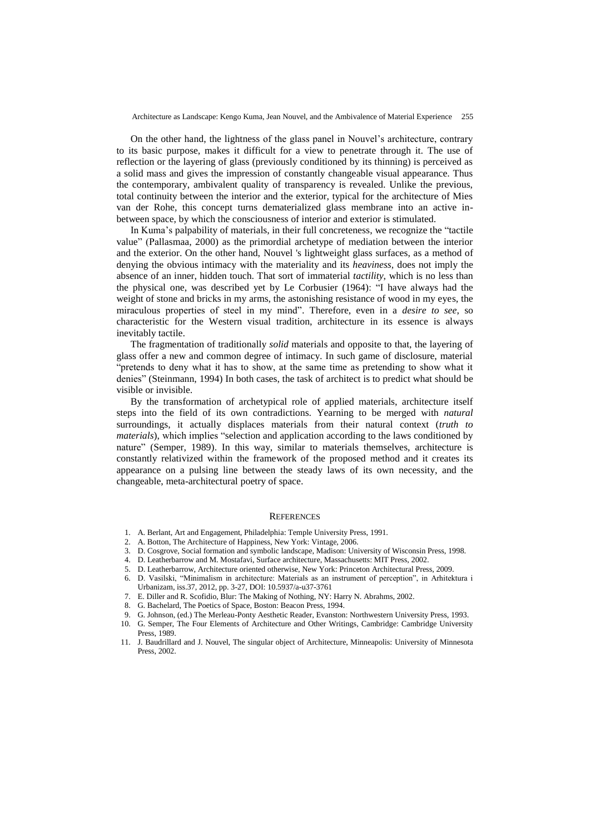On the other hand, the lightness of the glass panel in Nouvel"s architecture, contrary to its basic purpose, makes it difficult for a view to penetrate through it. The use of reflection or the layering of glass (previously conditioned by its thinning) is perceived as a solid mass and gives the impression of constantly changeable visual appearance. Thus the contemporary, ambivalent quality of transparency is revealed. Unlike the previous, total continuity between the interior and the exterior, typical for the architecture of Mies van der Rohe, this concept turns dematerialized glass membrane into an active inbetween space, by which the consciousness of interior and exterior is stimulated.

In Kuma"s palpability of materials, in their full concreteness, we recognize the "tactile value" (Pallasmaa, 2000) as the primordial archetype of mediation between the interior and the exterior. On the other hand, Nouvel 's lightweight glass surfaces, as a method of denying the obvious intimacy with the materiality and its *heaviness,* does not imply the absence of an inner, hidden touch. That sort of immaterial *tactility*, which is no less than the physical one, was described yet by Le Corbusier (1964): "I have always had the weight of stone and bricks in my arms, the astonishing resistance of wood in my eyes, the miraculous properties of steel in my mind". Therefore, even in a *desire to see*, so characteristic for the Western visual tradition, architecture in its essence is always inevitably tactile.

The fragmentation of traditionally *solid* materials and opposite to that, the layering of glass offer a new and common degree of intimacy. In such game of disclosure, material "pretends to deny what it has to show, at the same time as pretending to show what it denies" (Steinmann, 1994) In both cases, the task of architect is to predict what should be visible or invisible.

By the transformation of archetypical role of applied materials, architecture itself steps into the field of its own contradictions. Yearning to be merged with *natural* surroundings, it actually displaces materials from their natural context (*truth to materials*), which implies "selection and application according to the laws conditioned by nature" (Semper, 1989). In this way, similar to materials themselves, architecture is constantly relativized within the framework of the proposed method and it creates its appearance on a pulsing line between the steady laws of its own necessity, and the changeable, meta-architectural poetry of space.

#### **REFERENCES**

- 1. A. Berlant, Art and Engagement, Philadelphia: Temple University Press, 1991.
- 2. A. Botton, The Architecture of Happiness, New York: Vintage, 2006.
- 3. D. Cosgrove, Social formation and symbolic landscape, Madison: University of Wisconsin Press, 1998.
- 4. D. Leatherbarrow and M. Mostafavi, Surface architecture, Massachusetts: MIT Press, 2002.
- 5. D. Leatherbarrow, Architecture oriented otherwise, New York: Princeton Architectural Press, 2009.
- 6. D. Vasilski, "Minimalism in architecture: Materials as an instrument of perception", in Arhitektura i Urbanizam, iss.37, 2012, pp. 3-27, DOI: 10.5937/a-u37-3761
- 7. E. Diller and R. Scofidio, Blur: The Making of Nothing, NY: Harry N. Abrahms, 2002.
- 8. G. Bachelard, The Poetics of Space, Boston: Beacon Press, 1994.
- 9. G. Johnson, (ed.) The Merleau-Ponty Aesthetic Reader, Evanston: Northwestern University Press, 1993.
- 10. G. Semper, The Four Elements of Architecture and Other Writings, Cambridge: Cambridge University Press, 1989.
- 11. J. Baudrillard and J. Nouvel, The singular object of Architecture, Minneapolis: University of Minnesota Press, 2002.